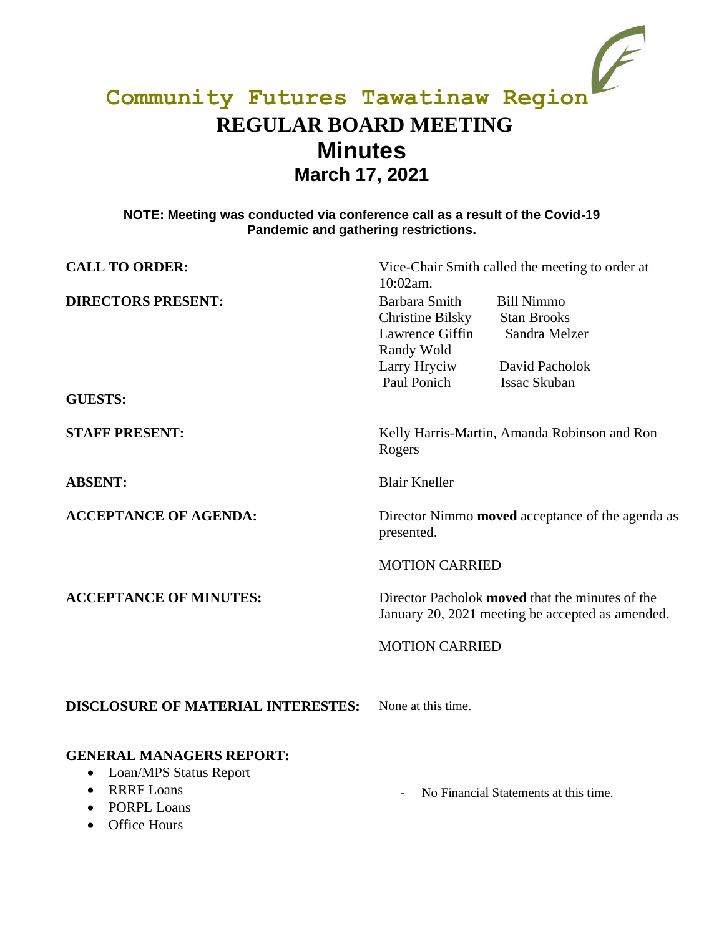# **Community Futures Tawatinaw Region REGULAR BOARD MEETING Minutes March 17, 2021**

# **NOTE: Meeting was conducted via conference call as a result of the Covid-19 Pandemic and gathering restrictions.**

| <b>CALL TO ORDER:</b>                                                                                             | Vice-Chair Smith called the meeting to order at<br>10:02am.                                                                                                                                                   |
|-------------------------------------------------------------------------------------------------------------------|---------------------------------------------------------------------------------------------------------------------------------------------------------------------------------------------------------------|
| <b>DIRECTORS PRESENT:</b><br><b>GUESTS:</b>                                                                       | Barbara Smith<br><b>Bill Nimmo</b><br><b>Christine Bilsky</b><br><b>Stan Brooks</b><br>Sandra Melzer<br>Lawrence Giffin<br>Randy Wold<br>Larry Hryciw<br>David Pacholok<br>Paul Ponich<br><b>Issac Skuban</b> |
| <b>STAFF PRESENT:</b>                                                                                             | Kelly Harris-Martin, Amanda Robinson and Ron<br>Rogers                                                                                                                                                        |
| <b>ABSENT:</b>                                                                                                    | <b>Blair Kneller</b>                                                                                                                                                                                          |
| <b>ACCEPTANCE OF AGENDA:</b>                                                                                      | Director Nimmo <b>moved</b> acceptance of the agenda as<br>presented.                                                                                                                                         |
|                                                                                                                   | <b>MOTION CARRIED</b>                                                                                                                                                                                         |
| <b>ACCEPTANCE OF MINUTES:</b>                                                                                     | Director Pacholok <b>moved</b> that the minutes of the<br>January 20, 2021 meeting be accepted as amended.                                                                                                    |
|                                                                                                                   | <b>MOTION CARRIED</b>                                                                                                                                                                                         |
| <b>DISCLOSURE OF MATERIAL INTERESTES:</b>                                                                         | None at this time.                                                                                                                                                                                            |
| <b>GENERAL MANAGERS REPORT:</b><br>Loan/MPS Status Report<br><b>RRRF</b> Loans<br><b>PORPL Loans</b><br>$\bullet$ | No Financial Statements at this time.                                                                                                                                                                         |

• Office Hours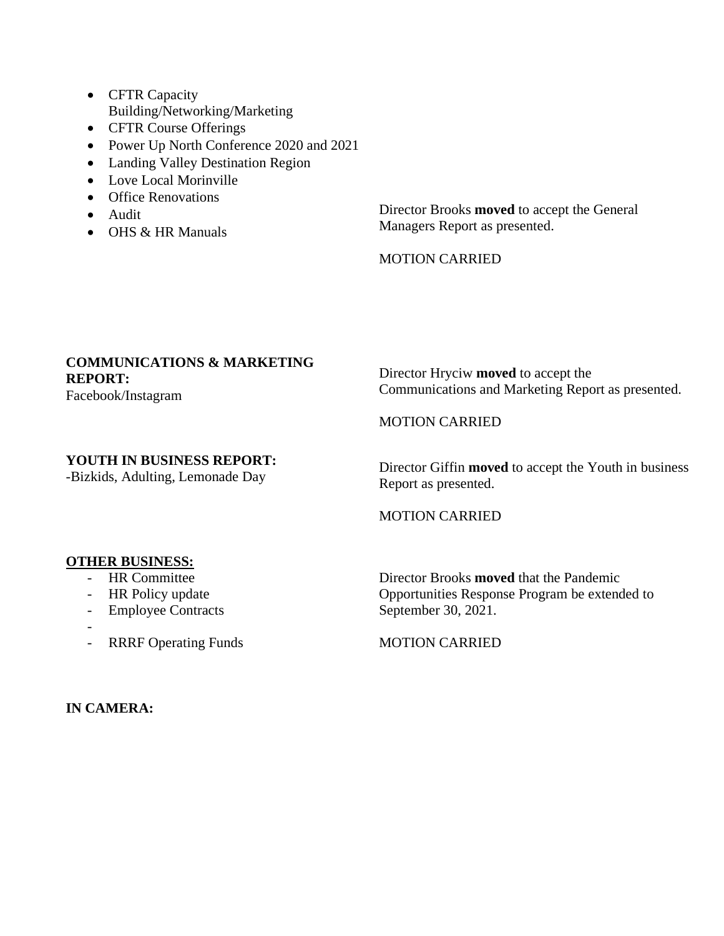- CFTR Capacity Building/Networking/Marketing
- CFTR Course Offerings
- Power Up North Conference 2020 and 2021
- Landing Valley Destination Region
- Love Local Morinville
- Office Renovations
- Audit
- OHS & HR Manuals

Director Brooks **moved** to accept the General Managers Report as presented.

MOTION CARRIED

# **COMMUNICATIONS & MARKETING REPORT:**

Facebook/Instagram

Director Hryciw **moved** to accept the Communications and Marketing Report as presented.

#### **YOUTH IN BUSINESS REPORT:**

-Bizkids, Adulting, Lemonade Day

MOTION CARRIED

Director Giffin **moved** to accept the Youth in business Report as presented.

# MOTION CARRIED

### **OTHER BUSINESS:**

- HR Committee
- HR Policy update
- Employee Contracts
- -
- RRRF Operating Funds

Director Brooks **moved** that the Pandemic Opportunities Response Program be extended to September 30, 2021.

MOTION CARRIED

**IN CAMERA:**